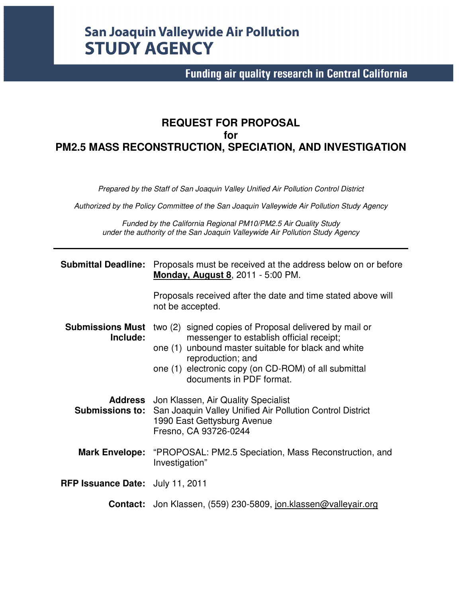# **San Joaquin Valleywide Air Pollution STUDY AGENCY**

# **Funding air quality research in Central California**

# **REQUEST FOR PROPOSAL for PM2.5 MASS RECONSTRUCTION, SPECIATION, AND INVESTIGATION**

*Prepared by the Staff of San Joaquin Valley Unified Air Pollution Control District* 

*Authorized by the Policy Committee of the San Joaquin Valleywide Air Pollution Study Agency* 

*Funded by the California Regional PM10/PM2.5 Air Quality Study under the authority of the San Joaquin Valleywide Air Pollution Study Agency* 

| <b>Submittal Deadline:</b>              | Proposals must be received at the address below on or before<br><b>Monday, August 8, 2011 - 5:00 PM.</b>                                                                                                                                                           |  |  |  |  |  |  |  |
|-----------------------------------------|--------------------------------------------------------------------------------------------------------------------------------------------------------------------------------------------------------------------------------------------------------------------|--|--|--|--|--|--|--|
|                                         | Proposals received after the date and time stated above will<br>not be accepted.                                                                                                                                                                                   |  |  |  |  |  |  |  |
| <b>Submissions Must</b><br>Include:     | two (2) signed copies of Proposal delivered by mail or<br>messenger to establish official receipt;<br>one (1) unbound master suitable for black and white<br>reproduction; and<br>one (1) electronic copy (on CD-ROM) of all submittal<br>documents in PDF format. |  |  |  |  |  |  |  |
|                                         | <b>Address</b> Jon Klassen, Air Quality Specialist<br><b>Submissions to:</b> San Joaquin Valley Unified Air Pollution Control District<br>1990 East Gettysburg Avenue<br>Fresno, CA 93726-0244                                                                     |  |  |  |  |  |  |  |
| <b>Mark Envelope:</b>                   | "PROPOSAL: PM2.5 Speciation, Mass Reconstruction, and<br>Investigation"                                                                                                                                                                                            |  |  |  |  |  |  |  |
| <b>RFP Issuance Date:</b> July 11, 2011 |                                                                                                                                                                                                                                                                    |  |  |  |  |  |  |  |
|                                         | <b>Contact:</b> Jon Klassen, (559) 230-5809, jon.klassen@valleyair.org                                                                                                                                                                                             |  |  |  |  |  |  |  |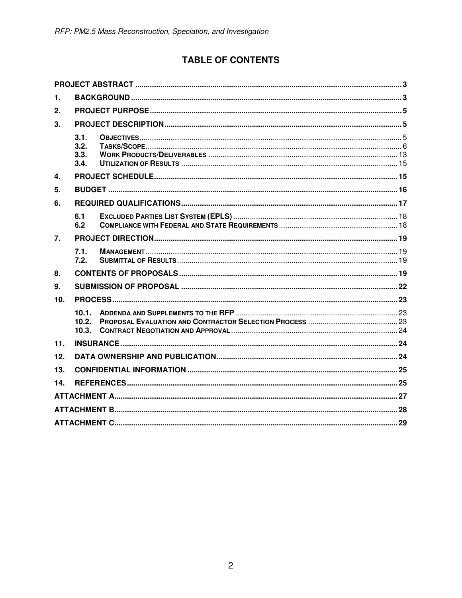# **TABLE OF CONTENTS**

| 1.             |                              |  |
|----------------|------------------------------|--|
| 2.             |                              |  |
| 3 <sub>l</sub> |                              |  |
|                | 3.1.<br>3.2.<br>3.3.<br>3.4. |  |
| 4.             |                              |  |
| 5.             |                              |  |
| 6.             |                              |  |
|                | 6.1<br>6.2                   |  |
| 7.             |                              |  |
|                | 7.1.<br>7.2.                 |  |
| 8.             |                              |  |
| 9.             |                              |  |
| 10.            |                              |  |
|                | 10.1.<br>10.2.<br>10.3.      |  |
| 11.            |                              |  |
| 12.            |                              |  |
| 13.            |                              |  |
| 14.            |                              |  |
|                |                              |  |
|                |                              |  |
|                |                              |  |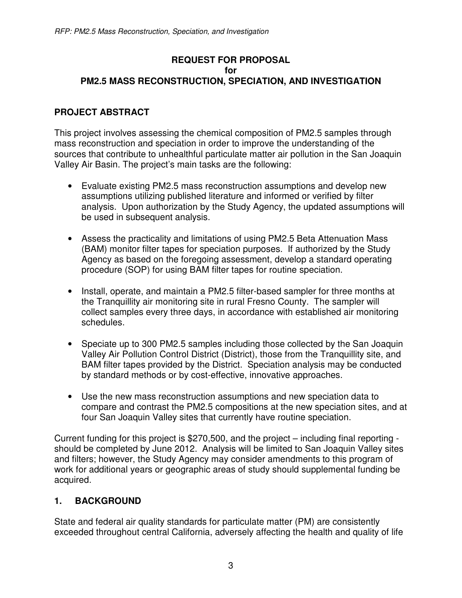#### **REQUEST FOR PROPOSAL for PM2.5 MASS RECONSTRUCTION, SPECIATION, AND INVESTIGATION**

# **PROJECT ABSTRACT**

This project involves assessing the chemical composition of PM2.5 samples through mass reconstruction and speciation in order to improve the understanding of the sources that contribute to unhealthful particulate matter air pollution in the San Joaquin Valley Air Basin. The project's main tasks are the following:

- Evaluate existing PM2.5 mass reconstruction assumptions and develop new assumptions utilizing published literature and informed or verified by filter analysis. Upon authorization by the Study Agency, the updated assumptions will be used in subsequent analysis.
- Assess the practicality and limitations of using PM2.5 Beta Attenuation Mass (BAM) monitor filter tapes for speciation purposes. If authorized by the Study Agency as based on the foregoing assessment, develop a standard operating procedure (SOP) for using BAM filter tapes for routine speciation.
- Install, operate, and maintain a PM2.5 filter-based sampler for three months at the Tranquillity air monitoring site in rural Fresno County. The sampler will collect samples every three days, in accordance with established air monitoring schedules.
- Speciate up to 300 PM2.5 samples including those collected by the San Joaquin Valley Air Pollution Control District (District), those from the Tranquillity site, and BAM filter tapes provided by the District. Speciation analysis may be conducted by standard methods or by cost-effective, innovative approaches.
- Use the new mass reconstruction assumptions and new speciation data to compare and contrast the PM2.5 compositions at the new speciation sites, and at four San Joaquin Valley sites that currently have routine speciation.

Current funding for this project is \$270,500, and the project – including final reporting should be completed by June 2012. Analysis will be limited to San Joaquin Valley sites and filters; however, the Study Agency may consider amendments to this program of work for additional years or geographic areas of study should supplemental funding be acquired.

# **1. BACKGROUND**

State and federal air quality standards for particulate matter (PM) are consistently exceeded throughout central California, adversely affecting the health and quality of life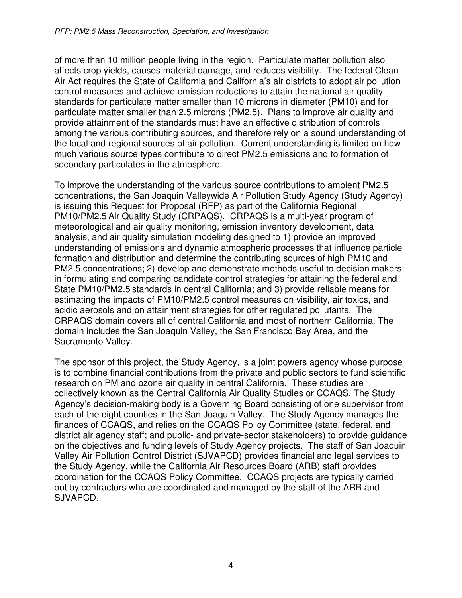of more than 10 million people living in the region. Particulate matter pollution also affects crop yields, causes material damage, and reduces visibility. The federal Clean Air Act requires the State of California and California's air districts to adopt air pollution control measures and achieve emission reductions to attain the national air quality standards for particulate matter smaller than 10 microns in diameter (PM10) and for particulate matter smaller than 2.5 microns (PM2.5). Plans to improve air quality and provide attainment of the standards must have an effective distribution of controls among the various contributing sources, and therefore rely on a sound understanding of the local and regional sources of air pollution. Current understanding is limited on how much various source types contribute to direct PM2.5 emissions and to formation of secondary particulates in the atmosphere.

To improve the understanding of the various source contributions to ambient PM2.5 concentrations, the San Joaquin Valleywide Air Pollution Study Agency (Study Agency) is issuing this Request for Proposal (RFP) as part of the California Regional PM10/PM2.5 Air Quality Study (CRPAQS). CRPAQS is a multi-year program of meteorological and air quality monitoring, emission inventory development, data analysis, and air quality simulation modeling designed to 1) provide an improved understanding of emissions and dynamic atmospheric processes that influence particle formation and distribution and determine the contributing sources of high PM10 and PM2.5 concentrations; 2) develop and demonstrate methods useful to decision makers in formulating and comparing candidate control strategies for attaining the federal and State PM10/PM2.5 standards in central California; and 3) provide reliable means for estimating the impacts of PM10/PM2.5 control measures on visibility, air toxics, and acidic aerosols and on attainment strategies for other regulated pollutants. The CRPAQS domain covers all of central California and most of northern California. The domain includes the San Joaquin Valley, the San Francisco Bay Area, and the Sacramento Valley.

The sponsor of this project, the Study Agency, is a joint powers agency whose purpose is to combine financial contributions from the private and public sectors to fund scientific research on PM and ozone air quality in central California. These studies are collectively known as the Central California Air Quality Studies or CCAQS. The Study Agency's decision-making body is a Governing Board consisting of one supervisor from each of the eight counties in the San Joaquin Valley. The Study Agency manages the finances of CCAQS, and relies on the CCAQS Policy Committee (state, federal, and district air agency staff; and public- and private-sector stakeholders) to provide guidance on the objectives and funding levels of Study Agency projects. The staff of San Joaquin Valley Air Pollution Control District (SJVAPCD) provides financial and legal services to the Study Agency, while the California Air Resources Board (ARB) staff provides coordination for the CCAQS Policy Committee. CCAQS projects are typically carried out by contractors who are coordinated and managed by the staff of the ARB and SJVAPCD.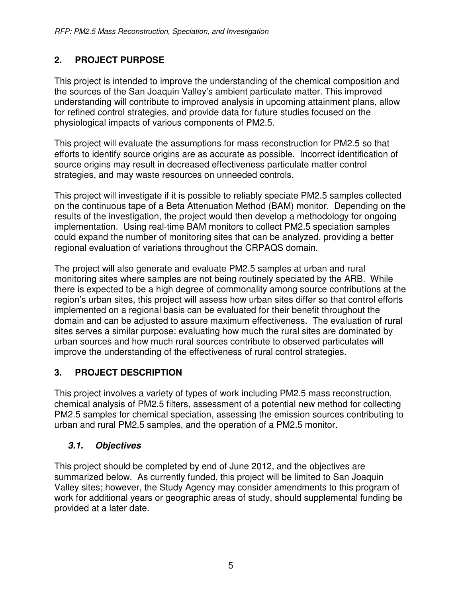# **2. PROJECT PURPOSE**

This project is intended to improve the understanding of the chemical composition and the sources of the San Joaquin Valley's ambient particulate matter. This improved understanding will contribute to improved analysis in upcoming attainment plans, allow for refined control strategies, and provide data for future studies focused on the physiological impacts of various components of PM2.5.

This project will evaluate the assumptions for mass reconstruction for PM2.5 so that efforts to identify source origins are as accurate as possible. Incorrect identification of source origins may result in decreased effectiveness particulate matter control strategies, and may waste resources on unneeded controls.

This project will investigate if it is possible to reliably speciate PM2.5 samples collected on the continuous tape of a Beta Attenuation Method (BAM) monitor. Depending on the results of the investigation, the project would then develop a methodology for ongoing implementation. Using real-time BAM monitors to collect PM2.5 speciation samples could expand the number of monitoring sites that can be analyzed, providing a better regional evaluation of variations throughout the CRPAQS domain.

The project will also generate and evaluate PM2.5 samples at urban and rural monitoring sites where samples are not being routinely speciated by the ARB. While there is expected to be a high degree of commonality among source contributions at the region's urban sites, this project will assess how urban sites differ so that control efforts implemented on a regional basis can be evaluated for their benefit throughout the domain and can be adjusted to assure maximum effectiveness. The evaluation of rural sites serves a similar purpose: evaluating how much the rural sites are dominated by urban sources and how much rural sources contribute to observed particulates will improve the understanding of the effectiveness of rural control strategies.

# **3. PROJECT DESCRIPTION**

This project involves a variety of types of work including PM2.5 mass reconstruction, chemical analysis of PM2.5 filters, assessment of a potential new method for collecting PM2.5 samples for chemical speciation, assessing the emission sources contributing to urban and rural PM2.5 samples, and the operation of a PM2.5 monitor.

# **3.1. Objectives**

This project should be completed by end of June 2012, and the objectives are summarized below. As currently funded, this project will be limited to San Joaquin Valley sites; however, the Study Agency may consider amendments to this program of work for additional years or geographic areas of study, should supplemental funding be provided at a later date.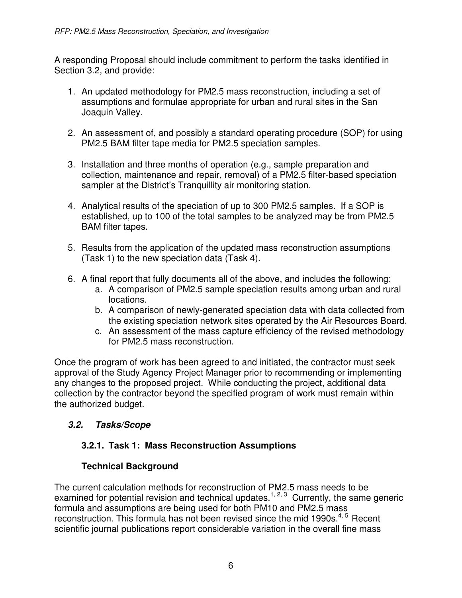A responding Proposal should include commitment to perform the tasks identified in Section 3.2, and provide:

- 1. An updated methodology for PM2.5 mass reconstruction, including a set of assumptions and formulae appropriate for urban and rural sites in the San Joaquin Valley.
- 2. An assessment of, and possibly a standard operating procedure (SOP) for using PM2.5 BAM filter tape media for PM2.5 speciation samples.
- 3. Installation and three months of operation (e.g., sample preparation and collection, maintenance and repair, removal) of a PM2.5 filter-based speciation sampler at the District's Tranquillity air monitoring station.
- 4. Analytical results of the speciation of up to 300 PM2.5 samples. If a SOP is established, up to 100 of the total samples to be analyzed may be from PM2.5 BAM filter tapes.
- 5. Results from the application of the updated mass reconstruction assumptions (Task 1) to the new speciation data (Task 4).
- 6. A final report that fully documents all of the above, and includes the following:
	- a. A comparison of PM2.5 sample speciation results among urban and rural locations.
	- b. A comparison of newly-generated speciation data with data collected from the existing speciation network sites operated by the Air Resources Board.
	- c. An assessment of the mass capture efficiency of the revised methodology for PM2.5 mass reconstruction.

Once the program of work has been agreed to and initiated, the contractor must seek approval of the Study Agency Project Manager prior to recommending or implementing any changes to the proposed project. While conducting the project, additional data collection by the contractor beyond the specified program of work must remain within the authorized budget.

# **3.2. Tasks/Scope**

# **3.2.1. Task 1: Mass Reconstruction Assumptions**

# **Technical Background**

The current calculation methods for reconstruction of PM2.5 mass needs to be examined for potential revision and technical updates.<sup>1, 2, 3</sup> Currently, the same generic formula and assumptions are being used for both PM10 and PM2.5 mass reconstruction. This formula has not been revised since the mid 1990s.<sup>4, 5</sup> Recent scientific journal publications report considerable variation in the overall fine mass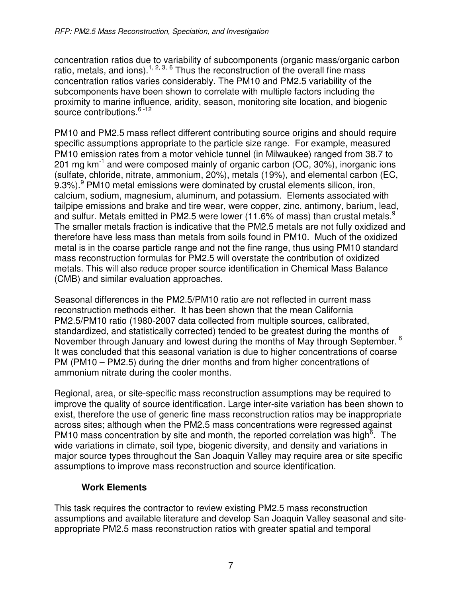concentration ratios due to variability of subcomponents (organic mass/organic carbon ratio, metals, and ions).<sup>1, 2, 3, 6</sup> Thus the reconstruction of the overall fine mass concentration ratios varies considerably. The PM10 and PM2.5 variability of the subcomponents have been shown to correlate with multiple factors including the proximity to marine influence, aridity, season, monitoring site location, and biogenic source contributions.<sup>6-12</sup>

PM10 and PM2.5 mass reflect different contributing source origins and should require specific assumptions appropriate to the particle size range. For example, measured PM10 emission rates from a motor vehicle tunnel (in Milwaukee) ranged from 38.7 to 201 mg  $km^{-1}$  and were composed mainly of organic carbon (OC, 30%), inorganic ions (sulfate, chloride, nitrate, ammonium, 20%), metals (19%), and elemental carbon (EC, 9.3%).<sup>9</sup> PM10 metal emissions were dominated by crustal elements silicon, iron, calcium, sodium, magnesium, aluminum, and potassium. Elements associated with tailpipe emissions and brake and tire wear, were copper, zinc, antimony, barium, lead, and sulfur. Metals emitted in PM2.5 were lower (11.6% of mass) than crustal metals.<sup>9</sup> The smaller metals fraction is indicative that the PM2.5 metals are not fully oxidized and therefore have less mass than metals from soils found in PM10. Much of the oxidized metal is in the coarse particle range and not the fine range, thus using PM10 standard mass reconstruction formulas for PM2.5 will overstate the contribution of oxidized metals. This will also reduce proper source identification in Chemical Mass Balance (CMB) and similar evaluation approaches.

Seasonal differences in the PM2.5/PM10 ratio are not reflected in current mass reconstruction methods either. It has been shown that the mean California PM2.5/PM10 ratio (1980-2007 data collected from multiple sources, calibrated, standardized, and statistically corrected) tended to be greatest during the months of November through January and lowest during the months of May through September.<sup>6</sup> It was concluded that this seasonal variation is due to higher concentrations of coarse PM (PM10 – PM2.5) during the drier months and from higher concentrations of ammonium nitrate during the cooler months.

Regional, area, or site-specific mass reconstruction assumptions may be required to improve the quality of source identification. Large inter-site variation has been shown to exist, therefore the use of generic fine mass reconstruction ratios may be inappropriate across sites; although when the PM2.5 mass concentrations were regressed against PM10 mass concentration by site and month, the reported correlation was high<sup> $\overline{6}$ </sup>. The wide variations in climate, soil type, biogenic diversity, and density and variations in major source types throughout the San Joaquin Valley may require area or site specific assumptions to improve mass reconstruction and source identification.

#### **Work Elements**

This task requires the contractor to review existing PM2.5 mass reconstruction assumptions and available literature and develop San Joaquin Valley seasonal and siteappropriate PM2.5 mass reconstruction ratios with greater spatial and temporal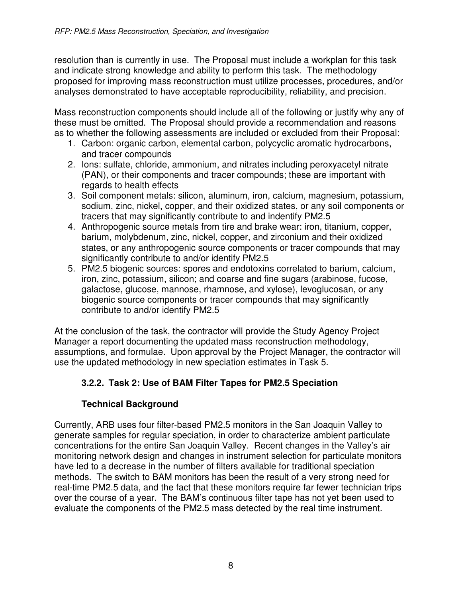resolution than is currently in use. The Proposal must include a workplan for this task and indicate strong knowledge and ability to perform this task. The methodology proposed for improving mass reconstruction must utilize processes, procedures, and/or analyses demonstrated to have acceptable reproducibility, reliability, and precision.

Mass reconstruction components should include all of the following or justify why any of these must be omitted. The Proposal should provide a recommendation and reasons as to whether the following assessments are included or excluded from their Proposal:

- 1. Carbon: organic carbon, elemental carbon, polycyclic aromatic hydrocarbons, and tracer compounds
- 2. Ions: sulfate, chloride, ammonium, and nitrates including peroxyacetyl nitrate (PAN), or their components and tracer compounds; these are important with regards to health effects
- 3. Soil component metals: silicon, aluminum, iron, calcium, magnesium, potassium, sodium, zinc, nickel, copper, and their oxidized states, or any soil components or tracers that may significantly contribute to and indentify PM2.5
- 4. Anthropogenic source metals from tire and brake wear: iron, titanium, copper, barium, molybdenum, zinc, nickel, copper, and zirconium and their oxidized states, or any anthropogenic source components or tracer compounds that may significantly contribute to and/or identify PM2.5
- 5. PM2.5 biogenic sources: spores and endotoxins correlated to barium, calcium, iron, zinc, potassium, silicon; and coarse and fine sugars (arabinose, fucose, galactose, glucose, mannose, rhamnose, and xylose), levoglucosan, or any biogenic source components or tracer compounds that may significantly contribute to and/or identify PM2.5

At the conclusion of the task, the contractor will provide the Study Agency Project Manager a report documenting the updated mass reconstruction methodology, assumptions, and formulae. Upon approval by the Project Manager, the contractor will use the updated methodology in new speciation estimates in Task 5.

# **3.2.2. Task 2: Use of BAM Filter Tapes for PM2.5 Speciation**

# **Technical Background**

Currently, ARB uses four filter-based PM2.5 monitors in the San Joaquin Valley to generate samples for regular speciation, in order to characterize ambient particulate concentrations for the entire San Joaquin Valley. Recent changes in the Valley's air monitoring network design and changes in instrument selection for particulate monitors have led to a decrease in the number of filters available for traditional speciation methods. The switch to BAM monitors has been the result of a very strong need for real-time PM2.5 data, and the fact that these monitors require far fewer technician trips over the course of a year. The BAM's continuous filter tape has not yet been used to evaluate the components of the PM2.5 mass detected by the real time instrument.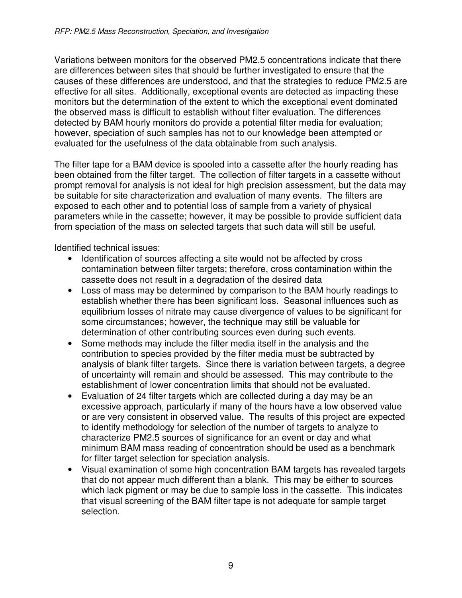Variations between monitors for the observed PM2.5 concentrations indicate that there are differences between sites that should be further investigated to ensure that the causes of these differences are understood, and that the strategies to reduce PM2.5 are effective for all sites. Additionally, exceptional events are detected as impacting these monitors but the determination of the extent to which the exceptional event dominated the observed mass is difficult to establish without filter evaluation. The differences detected by BAM hourly monitors do provide a potential filter media for evaluation; however, speciation of such samples has not to our knowledge been attempted or evaluated for the usefulness of the data obtainable from such analysis.

The filter tape for a BAM device is spooled into a cassette after the hourly reading has been obtained from the filter target. The collection of filter targets in a cassette without prompt removal for analysis is not ideal for high precision assessment, but the data may be suitable for site characterization and evaluation of many events. The filters are exposed to each other and to potential loss of sample from a variety of physical parameters while in the cassette; however, it may be possible to provide sufficient data from speciation of the mass on selected targets that such data will still be useful.

Identified technical issues:

- Identification of sources affecting a site would not be affected by cross contamination between filter targets; therefore, cross contamination within the cassette does not result in a degradation of the desired data
- Loss of mass may be determined by comparison to the BAM hourly readings to establish whether there has been significant loss. Seasonal influences such as equilibrium losses of nitrate may cause divergence of values to be significant for some circumstances; however, the technique may still be valuable for determination of other contributing sources even during such events.
- Some methods may include the filter media itself in the analysis and the contribution to species provided by the filter media must be subtracted by analysis of blank filter targets. Since there is variation between targets, a degree of uncertainty will remain and should be assessed. This may contribute to the establishment of lower concentration limits that should not be evaluated.
- Evaluation of 24 filter targets which are collected during a day may be an excessive approach, particularly if many of the hours have a low observed value or are very consistent in observed value. The results of this project are expected to identify methodology for selection of the number of targets to analyze to characterize PM2.5 sources of significance for an event or day and what minimum BAM mass reading of concentration should be used as a benchmark for filter target selection for speciation analysis.
- Visual examination of some high concentration BAM targets has revealed targets that do not appear much different than a blank. This may be either to sources which lack pigment or may be due to sample loss in the cassette. This indicates that visual screening of the BAM filter tape is not adequate for sample target selection.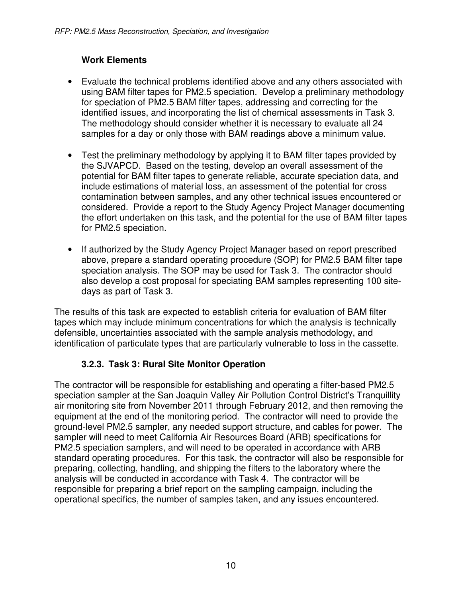# **Work Elements**

- Evaluate the technical problems identified above and any others associated with using BAM filter tapes for PM2.5 speciation. Develop a preliminary methodology for speciation of PM2.5 BAM filter tapes, addressing and correcting for the identified issues, and incorporating the list of chemical assessments in Task 3. The methodology should consider whether it is necessary to evaluate all 24 samples for a day or only those with BAM readings above a minimum value.
- Test the preliminary methodology by applying it to BAM filter tapes provided by the SJVAPCD. Based on the testing, develop an overall assessment of the potential for BAM filter tapes to generate reliable, accurate speciation data, and include estimations of material loss, an assessment of the potential for cross contamination between samples, and any other technical issues encountered or considered. Provide a report to the Study Agency Project Manager documenting the effort undertaken on this task, and the potential for the use of BAM filter tapes for PM2.5 speciation.
- If authorized by the Study Agency Project Manager based on report prescribed above, prepare a standard operating procedure (SOP) for PM2.5 BAM filter tape speciation analysis. The SOP may be used for Task 3. The contractor should also develop a cost proposal for speciating BAM samples representing 100 sitedays as part of Task 3.

The results of this task are expected to establish criteria for evaluation of BAM filter tapes which may include minimum concentrations for which the analysis is technically defensible, uncertainties associated with the sample analysis methodology, and identification of particulate types that are particularly vulnerable to loss in the cassette.

# **3.2.3. Task 3: Rural Site Monitor Operation**

The contractor will be responsible for establishing and operating a filter-based PM2.5 speciation sampler at the San Joaquin Valley Air Pollution Control District's Tranquillity air monitoring site from November 2011 through February 2012, and then removing the equipment at the end of the monitoring period. The contractor will need to provide the ground-level PM2.5 sampler, any needed support structure, and cables for power. The sampler will need to meet California Air Resources Board (ARB) specifications for PM2.5 speciation samplers, and will need to be operated in accordance with ARB standard operating procedures. For this task, the contractor will also be responsible for preparing, collecting, handling, and shipping the filters to the laboratory where the analysis will be conducted in accordance with Task 4. The contractor will be responsible for preparing a brief report on the sampling campaign, including the operational specifics, the number of samples taken, and any issues encountered.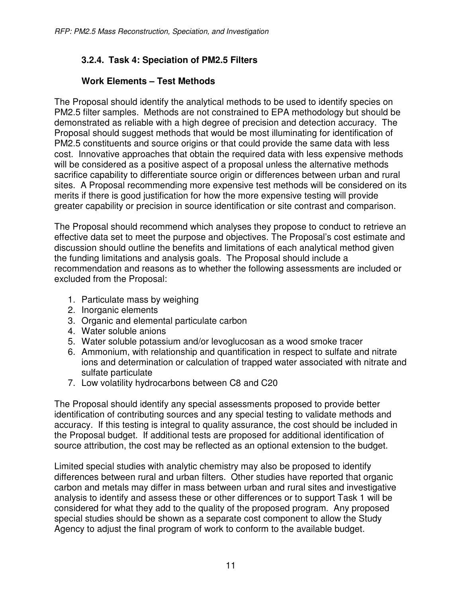# **3.2.4. Task 4: Speciation of PM2.5 Filters**

### **Work Elements – Test Methods**

The Proposal should identify the analytical methods to be used to identify species on PM2.5 filter samples. Methods are not constrained to EPA methodology but should be demonstrated as reliable with a high degree of precision and detection accuracy. The Proposal should suggest methods that would be most illuminating for identification of PM2.5 constituents and source origins or that could provide the same data with less cost. Innovative approaches that obtain the required data with less expensive methods will be considered as a positive aspect of a proposal unless the alternative methods sacrifice capability to differentiate source origin or differences between urban and rural sites. A Proposal recommending more expensive test methods will be considered on its merits if there is good justification for how the more expensive testing will provide greater capability or precision in source identification or site contrast and comparison.

The Proposal should recommend which analyses they propose to conduct to retrieve an effective data set to meet the purpose and objectives. The Proposal's cost estimate and discussion should outline the benefits and limitations of each analytical method given the funding limitations and analysis goals. The Proposal should include a recommendation and reasons as to whether the following assessments are included or excluded from the Proposal:

- 1. Particulate mass by weighing
- 2. Inorganic elements
- 3. Organic and elemental particulate carbon
- 4. Water soluble anions
- 5. Water soluble potassium and/or levoglucosan as a wood smoke tracer
- 6. Ammonium, with relationship and quantification in respect to sulfate and nitrate ions and determination or calculation of trapped water associated with nitrate and sulfate particulate
- 7. Low volatility hydrocarbons between C8 and C20

The Proposal should identify any special assessments proposed to provide better identification of contributing sources and any special testing to validate methods and accuracy. If this testing is integral to quality assurance, the cost should be included in the Proposal budget. If additional tests are proposed for additional identification of source attribution, the cost may be reflected as an optional extension to the budget.

Limited special studies with analytic chemistry may also be proposed to identify differences between rural and urban filters. Other studies have reported that organic carbon and metals may differ in mass between urban and rural sites and investigative analysis to identify and assess these or other differences or to support Task 1 will be considered for what they add to the quality of the proposed program. Any proposed special studies should be shown as a separate cost component to allow the Study Agency to adjust the final program of work to conform to the available budget.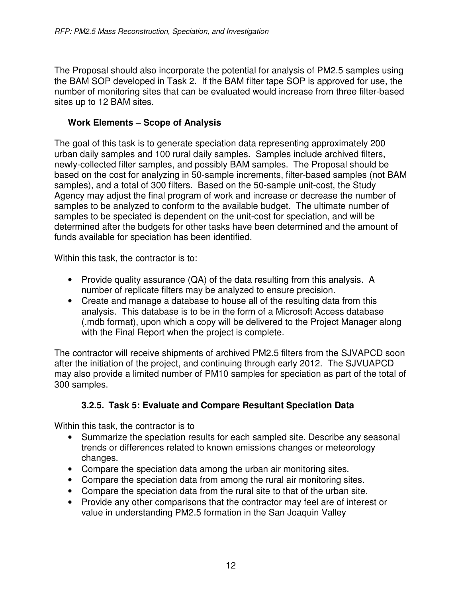The Proposal should also incorporate the potential for analysis of PM2.5 samples using the BAM SOP developed in Task 2. If the BAM filter tape SOP is approved for use, the number of monitoring sites that can be evaluated would increase from three filter-based sites up to 12 BAM sites.

#### **Work Elements – Scope of Analysis**

The goal of this task is to generate speciation data representing approximately 200 urban daily samples and 100 rural daily samples. Samples include archived filters, newly-collected filter samples, and possibly BAM samples. The Proposal should be based on the cost for analyzing in 50-sample increments, filter-based samples (not BAM samples), and a total of 300 filters. Based on the 50-sample unit-cost, the Study Agency may adjust the final program of work and increase or decrease the number of samples to be analyzed to conform to the available budget. The ultimate number of samples to be speciated is dependent on the unit-cost for speciation, and will be determined after the budgets for other tasks have been determined and the amount of funds available for speciation has been identified.

Within this task, the contractor is to:

- Provide quality assurance (QA) of the data resulting from this analysis. A number of replicate filters may be analyzed to ensure precision.
- Create and manage a database to house all of the resulting data from this analysis. This database is to be in the form of a Microsoft Access database (.mdb format), upon which a copy will be delivered to the Project Manager along with the Final Report when the project is complete.

The contractor will receive shipments of archived PM2.5 filters from the SJVAPCD soon after the initiation of the project, and continuing through early 2012. The SJVUAPCD may also provide a limited number of PM10 samples for speciation as part of the total of 300 samples.

# **3.2.5. Task 5: Evaluate and Compare Resultant Speciation Data**

Within this task, the contractor is to

- Summarize the speciation results for each sampled site. Describe any seasonal trends or differences related to known emissions changes or meteorology changes.
- Compare the speciation data among the urban air monitoring sites.
- Compare the speciation data from among the rural air monitoring sites.
- Compare the speciation data from the rural site to that of the urban site.
- Provide any other comparisons that the contractor may feel are of interest or value in understanding PM2.5 formation in the San Joaquin Valley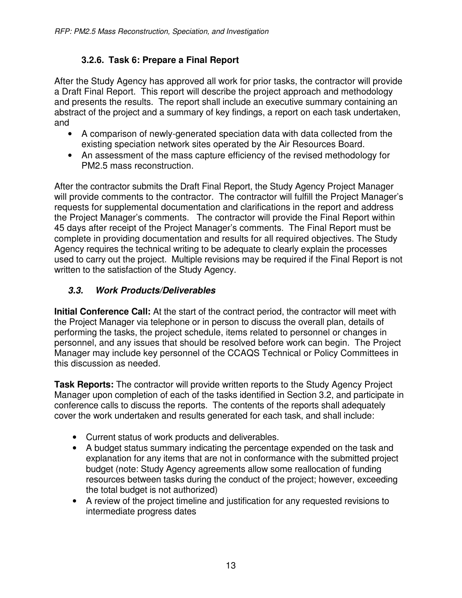# **3.2.6. Task 6: Prepare a Final Report**

After the Study Agency has approved all work for prior tasks, the contractor will provide a Draft Final Report. This report will describe the project approach and methodology and presents the results. The report shall include an executive summary containing an abstract of the project and a summary of key findings, a report on each task undertaken, and

- A comparison of newly-generated speciation data with data collected from the existing speciation network sites operated by the Air Resources Board.
- An assessment of the mass capture efficiency of the revised methodology for PM2.5 mass reconstruction.

After the contractor submits the Draft Final Report, the Study Agency Project Manager will provide comments to the contractor. The contractor will fulfill the Project Manager's requests for supplemental documentation and clarifications in the report and address the Project Manager's comments. The contractor will provide the Final Report within 45 days after receipt of the Project Manager's comments. The Final Report must be complete in providing documentation and results for all required objectives. The Study Agency requires the technical writing to be adequate to clearly explain the processes used to carry out the project. Multiple revisions may be required if the Final Report is not written to the satisfaction of the Study Agency.

# **3.3. Work Products/Deliverables**

**Initial Conference Call:** At the start of the contract period, the contractor will meet with the Project Manager via telephone or in person to discuss the overall plan, details of performing the tasks, the project schedule, items related to personnel or changes in personnel, and any issues that should be resolved before work can begin. The Project Manager may include key personnel of the CCAQS Technical or Policy Committees in this discussion as needed.

**Task Reports:** The contractor will provide written reports to the Study Agency Project Manager upon completion of each of the tasks identified in Section 3.2, and participate in conference calls to discuss the reports. The contents of the reports shall adequately cover the work undertaken and results generated for each task, and shall include:

- Current status of work products and deliverables.
- A budget status summary indicating the percentage expended on the task and explanation for any items that are not in conformance with the submitted project budget (note: Study Agency agreements allow some reallocation of funding resources between tasks during the conduct of the project; however, exceeding the total budget is not authorized)
- A review of the project timeline and justification for any requested revisions to intermediate progress dates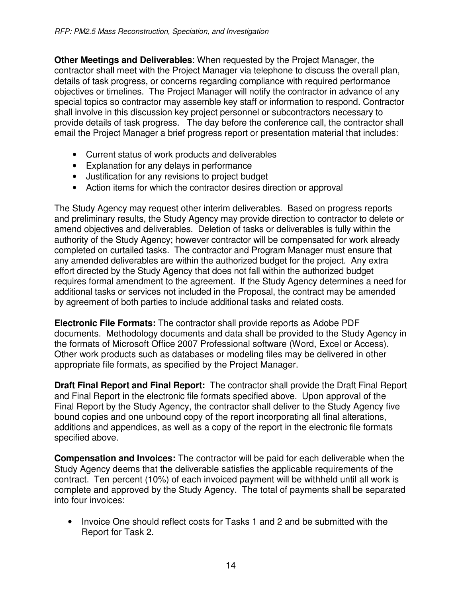**Other Meetings and Deliverables**: When requested by the Project Manager, the contractor shall meet with the Project Manager via telephone to discuss the overall plan, details of task progress, or concerns regarding compliance with required performance objectives or timelines. The Project Manager will notify the contractor in advance of any special topics so contractor may assemble key staff or information to respond. Contractor shall involve in this discussion key project personnel or subcontractors necessary to provide details of task progress. The day before the conference call, the contractor shall email the Project Manager a brief progress report or presentation material that includes:

- Current status of work products and deliverables
- Explanation for any delays in performance
- Justification for any revisions to project budget
- Action items for which the contractor desires direction or approval

The Study Agency may request other interim deliverables. Based on progress reports and preliminary results, the Study Agency may provide direction to contractor to delete or amend objectives and deliverables. Deletion of tasks or deliverables is fully within the authority of the Study Agency; however contractor will be compensated for work already completed on curtailed tasks. The contractor and Program Manager must ensure that any amended deliverables are within the authorized budget for the project. Any extra effort directed by the Study Agency that does not fall within the authorized budget requires formal amendment to the agreement. If the Study Agency determines a need for additional tasks or services not included in the Proposal, the contract may be amended by agreement of both parties to include additional tasks and related costs.

**Electronic File Formats:** The contractor shall provide reports as Adobe PDF documents. Methodology documents and data shall be provided to the Study Agency in the formats of Microsoft Office 2007 Professional software (Word, Excel or Access). Other work products such as databases or modeling files may be delivered in other appropriate file formats, as specified by the Project Manager.

**Draft Final Report and Final Report:** The contractor shall provide the Draft Final Report and Final Report in the electronic file formats specified above. Upon approval of the Final Report by the Study Agency, the contractor shall deliver to the Study Agency five bound copies and one unbound copy of the report incorporating all final alterations, additions and appendices, as well as a copy of the report in the electronic file formats specified above.

**Compensation and Invoices:** The contractor will be paid for each deliverable when the Study Agency deems that the deliverable satisfies the applicable requirements of the contract. Ten percent (10%) of each invoiced payment will be withheld until all work is complete and approved by the Study Agency. The total of payments shall be separated into four invoices:

• Invoice One should reflect costs for Tasks 1 and 2 and be submitted with the Report for Task 2.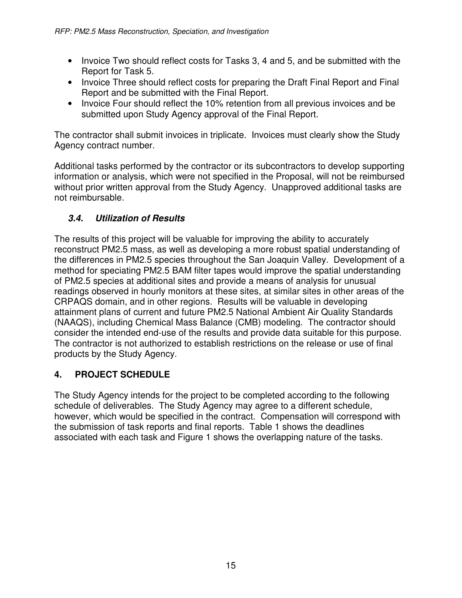- Invoice Two should reflect costs for Tasks 3, 4 and 5, and be submitted with the Report for Task 5.
- Invoice Three should reflect costs for preparing the Draft Final Report and Final Report and be submitted with the Final Report.
- Invoice Four should reflect the 10% retention from all previous invoices and be submitted upon Study Agency approval of the Final Report.

The contractor shall submit invoices in triplicate. Invoices must clearly show the Study Agency contract number.

Additional tasks performed by the contractor or its subcontractors to develop supporting information or analysis, which were not specified in the Proposal, will not be reimbursed without prior written approval from the Study Agency. Unapproved additional tasks are not reimbursable.

# **3.4. Utilization of Results**

The results of this project will be valuable for improving the ability to accurately reconstruct PM2.5 mass, as well as developing a more robust spatial understanding of the differences in PM2.5 species throughout the San Joaquin Valley. Development of a method for speciating PM2.5 BAM filter tapes would improve the spatial understanding of PM2.5 species at additional sites and provide a means of analysis for unusual readings observed in hourly monitors at these sites, at similar sites in other areas of the CRPAQS domain, and in other regions. Results will be valuable in developing attainment plans of current and future PM2.5 National Ambient Air Quality Standards (NAAQS), including Chemical Mass Balance (CMB) modeling. The contractor should consider the intended end-use of the results and provide data suitable for this purpose. The contractor is not authorized to establish restrictions on the release or use of final products by the Study Agency.

# **4. PROJECT SCHEDULE**

The Study Agency intends for the project to be completed according to the following schedule of deliverables. The Study Agency may agree to a different schedule, however, which would be specified in the contract. Compensation will correspond with the submission of task reports and final reports. Table 1 shows the deadlines associated with each task and Figure 1 shows the overlapping nature of the tasks.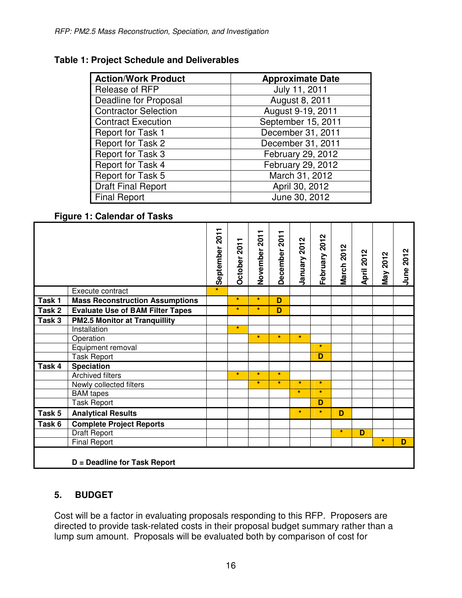#### **Table 1: Project Schedule and Deliverables**

| <b>Action/Work Product</b>   | <b>Approximate Date</b> |  |  |  |  |
|------------------------------|-------------------------|--|--|--|--|
| Release of RFP               | July 11, 2011           |  |  |  |  |
| <b>Deadline for Proposal</b> | August 8, 2011          |  |  |  |  |
| <b>Contractor Selection</b>  | August 9-19, 2011       |  |  |  |  |
| <b>Contract Execution</b>    | September 15, 2011      |  |  |  |  |
| <b>Report for Task 1</b>     | December 31, 2011       |  |  |  |  |
| Report for Task 2            | December 31, 2011       |  |  |  |  |
| Report for Task 3            | February 29, 2012       |  |  |  |  |
| Report for Task 4            | February 29, 2012       |  |  |  |  |
| Report for Task 5            | March 31, 2012          |  |  |  |  |
| <b>Draft Final Report</b>    | April 30, 2012          |  |  |  |  |
| <b>Final Report</b>          | June 30, 2012           |  |  |  |  |

#### **Figure 1: Calendar of Tasks**

|          |                                         | September 2011 | October 2011 | 2011<br>November      | 2011<br>December        | January 2012 | February 2012           | March 2012 | April 2012 | May 2012 | June 2012 |
|----------|-----------------------------------------|----------------|--------------|-----------------------|-------------------------|--------------|-------------------------|------------|------------|----------|-----------|
|          | Execute contract                        | $\star$        |              |                       |                         |              |                         |            |            |          |           |
| Task $1$ | <b>Mass Reconstruction Assumptions</b>  |                | $\star$      | $\mathbf{k}$          | D                       |              |                         |            |            |          |           |
| Task 2   | <b>Evaluate Use of BAM Filter Tapes</b> |                | $\star$      | $\star$               | D                       |              |                         |            |            |          |           |
| Task 3   | <b>PM2.5 Monitor at Tranquillity</b>    |                |              |                       |                         |              |                         |            |            |          |           |
|          | Installation                            |                | $\star$      |                       |                         |              |                         |            |            |          |           |
|          | Operation                               |                |              | $\star$               | $\overline{\mathbf{r}}$ | $\star$      |                         |            |            |          |           |
|          | Equipment removal                       |                |              |                       |                         |              | $\star$                 |            |            |          |           |
|          | <b>Task Report</b>                      |                |              |                       |                         |              | $\overline{\mathsf{D}}$ |            |            |          |           |
| Task 4   | <b>Speciation</b>                       |                |              |                       |                         |              |                         |            |            |          |           |
|          | <b>Archived filters</b>                 |                | $\star$      | $\mathbf{R}^{\prime}$ | $\star$                 |              |                         |            |            |          |           |
|          | Newly collected filters                 |                |              | $\mathbf{k}$          | $\star$                 | $\star$      | $\star$                 |            |            |          |           |
|          | <b>BAM</b> tapes                        |                |              |                       |                         | $\mathbf{k}$ | $\star$                 |            |            |          |           |
|          | <b>Task Report</b>                      |                |              |                       |                         |              | D                       |            |            |          |           |
| Task 5   | <b>Analytical Results</b>               |                |              |                       |                         | $\pm$        | $\star$                 | D          |            |          |           |
| Task 6   | <b>Complete Project Reports</b>         |                |              |                       |                         |              |                         |            |            |          |           |
|          | <b>Draft Report</b>                     |                |              |                       |                         |              |                         | $\star$    | D          |          |           |
|          | <b>Final Report</b>                     |                |              |                       |                         |              |                         |            |            | $\pm$    | D         |
|          | D = Deadline for Task Report            |                |              |                       |                         |              |                         |            |            |          |           |

# **5. BUDGET**

Cost will be a factor in evaluating proposals responding to this RFP. Proposers are directed to provide task-related costs in their proposal budget summary rather than a lump sum amount. Proposals will be evaluated both by comparison of cost for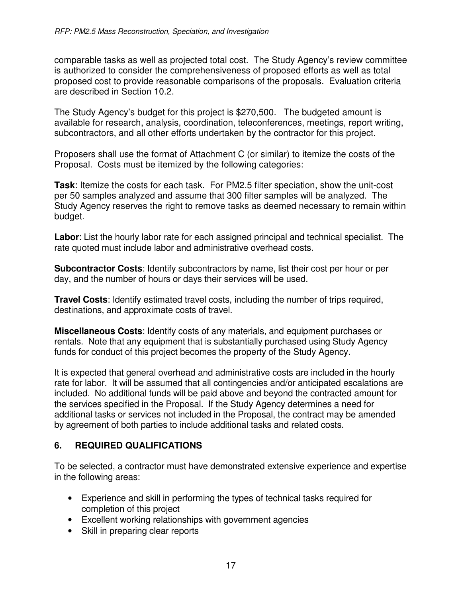comparable tasks as well as projected total cost. The Study Agency's review committee is authorized to consider the comprehensiveness of proposed efforts as well as total proposed cost to provide reasonable comparisons of the proposals. Evaluation criteria are described in Section 10.2.

The Study Agency's budget for this project is \$270,500. The budgeted amount is available for research, analysis, coordination, teleconferences, meetings, report writing, subcontractors, and all other efforts undertaken by the contractor for this project.

Proposers shall use the format of Attachment C (or similar) to itemize the costs of the Proposal. Costs must be itemized by the following categories:

**Task**: Itemize the costs for each task. For PM2.5 filter speciation, show the unit-cost per 50 samples analyzed and assume that 300 filter samples will be analyzed. The Study Agency reserves the right to remove tasks as deemed necessary to remain within budget.

**Labor**: List the hourly labor rate for each assigned principal and technical specialist. The rate quoted must include labor and administrative overhead costs.

**Subcontractor Costs**: Identify subcontractors by name, list their cost per hour or per day, and the number of hours or days their services will be used.

**Travel Costs**: Identify estimated travel costs, including the number of trips required, destinations, and approximate costs of travel.

**Miscellaneous Costs**: Identify costs of any materials, and equipment purchases or rentals. Note that any equipment that is substantially purchased using Study Agency funds for conduct of this project becomes the property of the Study Agency.

It is expected that general overhead and administrative costs are included in the hourly rate for labor. It will be assumed that all contingencies and/or anticipated escalations are included. No additional funds will be paid above and beyond the contracted amount for the services specified in the Proposal. If the Study Agency determines a need for additional tasks or services not included in the Proposal, the contract may be amended by agreement of both parties to include additional tasks and related costs.

# **6. REQUIRED QUALIFICATIONS**

To be selected, a contractor must have demonstrated extensive experience and expertise in the following areas:

- Experience and skill in performing the types of technical tasks required for completion of this project
- Excellent working relationships with government agencies
- Skill in preparing clear reports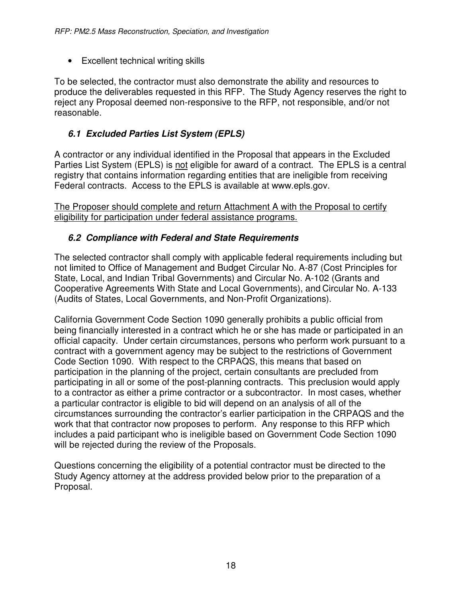• Excellent technical writing skills

To be selected, the contractor must also demonstrate the ability and resources to produce the deliverables requested in this RFP. The Study Agency reserves the right to reject any Proposal deemed non-responsive to the RFP, not responsible, and/or not reasonable.

### **6.1 Excluded Parties List System (EPLS)**

A contractor or any individual identified in the Proposal that appears in the Excluded Parties List System (EPLS) is not eligible for award of a contract. The EPLS is a central registry that contains information regarding entities that are ineligible from receiving Federal contracts. Access to the EPLS is available at www.epls.gov.

The Proposer should complete and return Attachment A with the Proposal to certify eligibility for participation under federal assistance programs.

#### **6.2 Compliance with Federal and State Requirements**

The selected contractor shall comply with applicable federal requirements including but not limited to Office of Management and Budget Circular No. A-87 (Cost Principles for State, Local, and Indian Tribal Governments) and Circular No. A-102 (Grants and Cooperative Agreements With State and Local Governments), and Circular No. A-133 (Audits of States, Local Governments, and Non-Profit Organizations).

California Government Code Section 1090 generally prohibits a public official from being financially interested in a contract which he or she has made or participated in an official capacity. Under certain circumstances, persons who perform work pursuant to a contract with a government agency may be subject to the restrictions of Government Code Section 1090. With respect to the CRPAQS, this means that based on participation in the planning of the project, certain consultants are precluded from participating in all or some of the post-planning contracts. This preclusion would apply to a contractor as either a prime contractor or a subcontractor. In most cases, whether a particular contractor is eligible to bid will depend on an analysis of all of the circumstances surrounding the contractor's earlier participation in the CRPAQS and the work that that contractor now proposes to perform. Any response to this RFP which includes a paid participant who is ineligible based on Government Code Section 1090 will be rejected during the review of the Proposals.

Questions concerning the eligibility of a potential contractor must be directed to the Study Agency attorney at the address provided below prior to the preparation of a Proposal.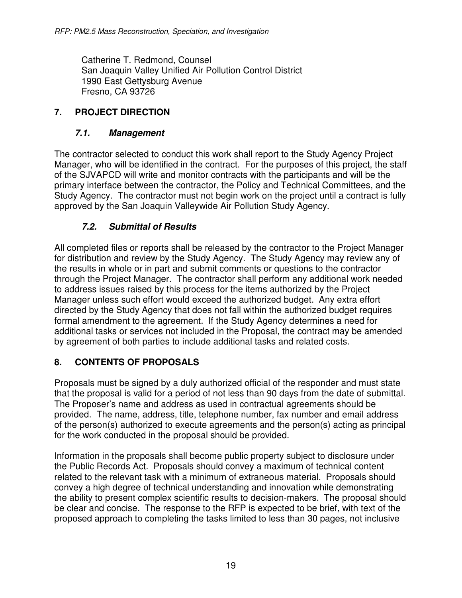Catherine T. Redmond, Counsel San Joaquin Valley Unified Air Pollution Control District 1990 East Gettysburg Avenue Fresno, CA 93726

### **7. PROJECT DIRECTION**

#### **7.1. Management**

The contractor selected to conduct this work shall report to the Study Agency Project Manager, who will be identified in the contract. For the purposes of this project, the staff of the SJVAPCD will write and monitor contracts with the participants and will be the primary interface between the contractor, the Policy and Technical Committees, and the Study Agency. The contractor must not begin work on the project until a contract is fully approved by the San Joaquin Valleywide Air Pollution Study Agency.

#### **7.2. Submittal of Results**

All completed files or reports shall be released by the contractor to the Project Manager for distribution and review by the Study Agency. The Study Agency may review any of the results in whole or in part and submit comments or questions to the contractor through the Project Manager. The contractor shall perform any additional work needed to address issues raised by this process for the items authorized by the Project Manager unless such effort would exceed the authorized budget. Any extra effort directed by the Study Agency that does not fall within the authorized budget requires formal amendment to the agreement. If the Study Agency determines a need for additional tasks or services not included in the Proposal, the contract may be amended by agreement of both parties to include additional tasks and related costs.

# **8. CONTENTS OF PROPOSALS**

Proposals must be signed by a duly authorized official of the responder and must state that the proposal is valid for a period of not less than 90 days from the date of submittal. The Proposer's name and address as used in contractual agreements should be provided. The name, address, title, telephone number, fax number and email address of the person(s) authorized to execute agreements and the person(s) acting as principal for the work conducted in the proposal should be provided.

Information in the proposals shall become public property subject to disclosure under the Public Records Act. Proposals should convey a maximum of technical content related to the relevant task with a minimum of extraneous material. Proposals should convey a high degree of technical understanding and innovation while demonstrating the ability to present complex scientific results to decision-makers. The proposal should be clear and concise. The response to the RFP is expected to be brief, with text of the proposed approach to completing the tasks limited to less than 30 pages, not inclusive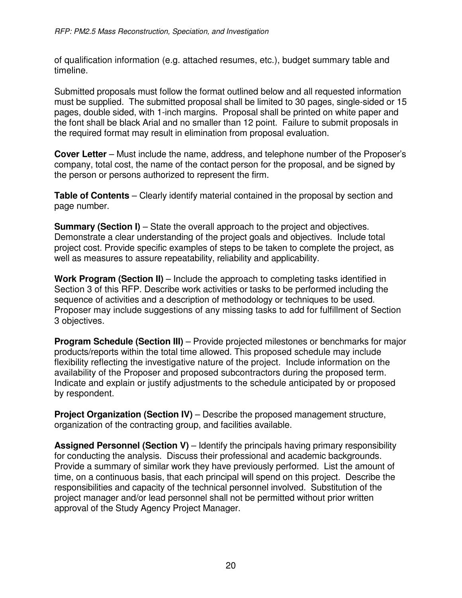of qualification information (e.g. attached resumes, etc.), budget summary table and timeline.

Submitted proposals must follow the format outlined below and all requested information must be supplied. The submitted proposal shall be limited to 30 pages, single-sided or 15 pages, double sided, with 1-inch margins. Proposal shall be printed on white paper and the font shall be black Arial and no smaller than 12 point. Failure to submit proposals in the required format may result in elimination from proposal evaluation.

**Cover Letter** – Must include the name, address, and telephone number of the Proposer's company, total cost, the name of the contact person for the proposal, and be signed by the person or persons authorized to represent the firm.

**Table of Contents** – Clearly identify material contained in the proposal by section and page number.

**Summary (Section I)** – State the overall approach to the project and objectives. Demonstrate a clear understanding of the project goals and objectives. Include total project cost. Provide specific examples of steps to be taken to complete the project, as well as measures to assure repeatability, reliability and applicability.

**Work Program (Section II)** – Include the approach to completing tasks identified in Section 3 of this RFP. Describe work activities or tasks to be performed including the sequence of activities and a description of methodology or techniques to be used. Proposer may include suggestions of any missing tasks to add for fulfillment of Section 3 objectives.

**Program Schedule (Section III)** – Provide projected milestones or benchmarks for major products/reports within the total time allowed. This proposed schedule may include flexibility reflecting the investigative nature of the project. Include information on the availability of the Proposer and proposed subcontractors during the proposed term. Indicate and explain or justify adjustments to the schedule anticipated by or proposed by respondent.

**Project Organization (Section IV)** – Describe the proposed management structure, organization of the contracting group, and facilities available.

**Assigned Personnel (Section V)** – Identify the principals having primary responsibility for conducting the analysis. Discuss their professional and academic backgrounds. Provide a summary of similar work they have previously performed. List the amount of time, on a continuous basis, that each principal will spend on this project. Describe the responsibilities and capacity of the technical personnel involved. Substitution of the project manager and/or lead personnel shall not be permitted without prior written approval of the Study Agency Project Manager.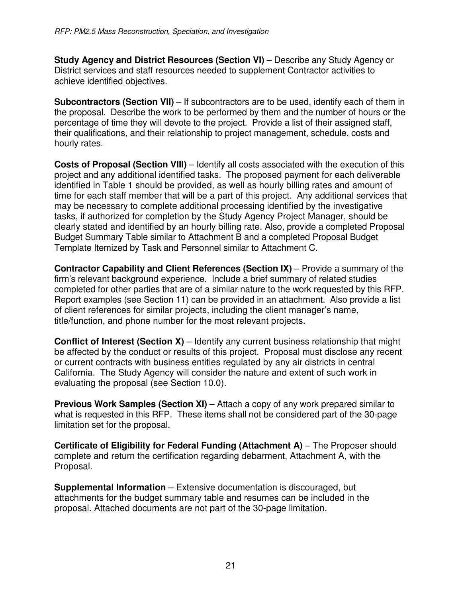**Study Agency and District Resources (Section VI)** – Describe any Study Agency or District services and staff resources needed to supplement Contractor activities to achieve identified objectives.

**Subcontractors (Section VII)** – If subcontractors are to be used, identify each of them in the proposal. Describe the work to be performed by them and the number of hours or the percentage of time they will devote to the project. Provide a list of their assigned staff, their qualifications, and their relationship to project management, schedule, costs and hourly rates.

**Costs of Proposal (Section VIII)** – Identify all costs associated with the execution of this project and any additional identified tasks. The proposed payment for each deliverable identified in Table 1 should be provided, as well as hourly billing rates and amount of time for each staff member that will be a part of this project. Any additional services that may be necessary to complete additional processing identified by the investigative tasks, if authorized for completion by the Study Agency Project Manager, should be clearly stated and identified by an hourly billing rate. Also, provide a completed Proposal Budget Summary Table similar to Attachment B and a completed Proposal Budget Template Itemized by Task and Personnel similar to Attachment C.

**Contractor Capability and Client References (Section IX)** – Provide a summary of the firm's relevant background experience. Include a brief summary of related studies completed for other parties that are of a similar nature to the work requested by this RFP. Report examples (see Section 11) can be provided in an attachment. Also provide a list of client references for similar projects, including the client manager's name, title/function, and phone number for the most relevant projects.

**Conflict of Interest (Section X)** – Identify any current business relationship that might be affected by the conduct or results of this project. Proposal must disclose any recent or current contracts with business entities regulated by any air districts in central California. The Study Agency will consider the nature and extent of such work in evaluating the proposal (see Section 10.0).

**Previous Work Samples (Section XI)** – Attach a copy of any work prepared similar to what is requested in this RFP. These items shall not be considered part of the 30-page limitation set for the proposal.

**Certificate of Eligibility for Federal Funding (Attachment A)** – The Proposer should complete and return the certification regarding debarment, Attachment A, with the Proposal.

**Supplemental Information** – Extensive documentation is discouraged, but attachments for the budget summary table and resumes can be included in the proposal. Attached documents are not part of the 30-page limitation.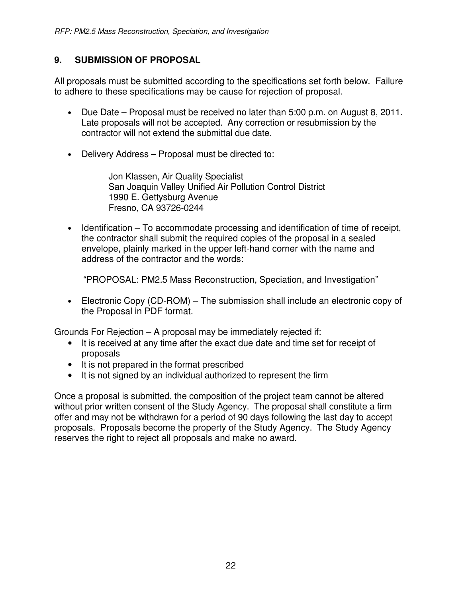### **9. SUBMISSION OF PROPOSAL**

All proposals must be submitted according to the specifications set forth below. Failure to adhere to these specifications may be cause for rejection of proposal.

- Due Date Proposal must be received no later than 5:00 p.m. on August 8, 2011. Late proposals will not be accepted. Any correction or resubmission by the contractor will not extend the submittal due date.
- Delivery Address Proposal must be directed to:

Jon Klassen, Air Quality Specialist San Joaquin Valley Unified Air Pollution Control District 1990 E. Gettysburg Avenue Fresno, CA 93726-0244

• Identification – To accommodate processing and identification of time of receipt, the contractor shall submit the required copies of the proposal in a sealed envelope, plainly marked in the upper left-hand corner with the name and address of the contractor and the words:

"PROPOSAL: PM2.5 Mass Reconstruction, Speciation, and Investigation"

• Electronic Copy (CD-ROM) – The submission shall include an electronic copy of the Proposal in PDF format.

Grounds For Rejection – A proposal may be immediately rejected if:

- It is received at any time after the exact due date and time set for receipt of proposals
- It is not prepared in the format prescribed
- It is not signed by an individual authorized to represent the firm

Once a proposal is submitted, the composition of the project team cannot be altered without prior written consent of the Study Agency. The proposal shall constitute a firm offer and may not be withdrawn for a period of 90 days following the last day to accept proposals. Proposals become the property of the Study Agency. The Study Agency reserves the right to reject all proposals and make no award.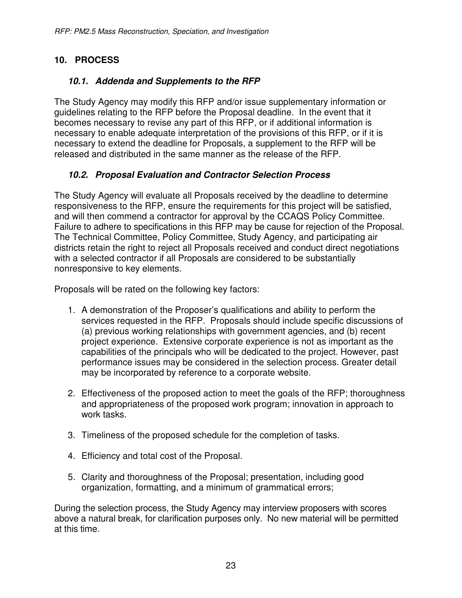# **10. PROCESS**

# **10.1. Addenda and Supplements to the RFP**

The Study Agency may modify this RFP and/or issue supplementary information or guidelines relating to the RFP before the Proposal deadline. In the event that it becomes necessary to revise any part of this RFP, or if additional information is necessary to enable adequate interpretation of the provisions of this RFP, or if it is necessary to extend the deadline for Proposals, a supplement to the RFP will be released and distributed in the same manner as the release of the RFP.

# **10.2. Proposal Evaluation and Contractor Selection Process**

The Study Agency will evaluate all Proposals received by the deadline to determine responsiveness to the RFP, ensure the requirements for this project will be satisfied, and will then commend a contractor for approval by the CCAQS Policy Committee. Failure to adhere to specifications in this RFP may be cause for rejection of the Proposal. The Technical Committee, Policy Committee, Study Agency, and participating air districts retain the right to reject all Proposals received and conduct direct negotiations with a selected contractor if all Proposals are considered to be substantially nonresponsive to key elements.

Proposals will be rated on the following key factors:

- 1. A demonstration of the Proposer's qualifications and ability to perform the services requested in the RFP. Proposals should include specific discussions of (a) previous working relationships with government agencies, and (b) recent project experience. Extensive corporate experience is not as important as the capabilities of the principals who will be dedicated to the project. However, past performance issues may be considered in the selection process. Greater detail may be incorporated by reference to a corporate website.
- 2. Effectiveness of the proposed action to meet the goals of the RFP; thoroughness and appropriateness of the proposed work program; innovation in approach to work tasks.
- 3. Timeliness of the proposed schedule for the completion of tasks.
- 4. Efficiency and total cost of the Proposal.
- 5. Clarity and thoroughness of the Proposal; presentation, including good organization, formatting, and a minimum of grammatical errors;

During the selection process, the Study Agency may interview proposers with scores above a natural break, for clarification purposes only. No new material will be permitted at this time.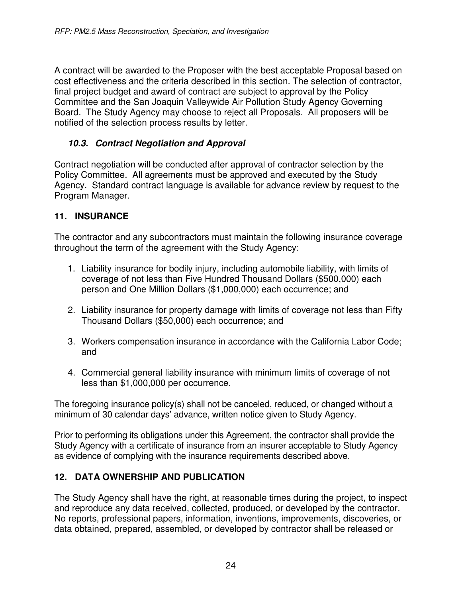A contract will be awarded to the Proposer with the best acceptable Proposal based on cost effectiveness and the criteria described in this section. The selection of contractor, final project budget and award of contract are subject to approval by the Policy Committee and the San Joaquin Valleywide Air Pollution Study Agency Governing Board. The Study Agency may choose to reject all Proposals. All proposers will be notified of the selection process results by letter.

### **10.3. Contract Negotiation and Approval**

Contract negotiation will be conducted after approval of contractor selection by the Policy Committee. All agreements must be approved and executed by the Study Agency. Standard contract language is available for advance review by request to the Program Manager.

#### **11. INSURANCE**

The contractor and any subcontractors must maintain the following insurance coverage throughout the term of the agreement with the Study Agency:

- 1. Liability insurance for bodily injury, including automobile liability, with limits of coverage of not less than Five Hundred Thousand Dollars (\$500,000) each person and One Million Dollars (\$1,000,000) each occurrence; and
- 2. Liability insurance for property damage with limits of coverage not less than Fifty Thousand Dollars (\$50,000) each occurrence; and
- 3. Workers compensation insurance in accordance with the California Labor Code; and
- 4. Commercial general liability insurance with minimum limits of coverage of not less than \$1,000,000 per occurrence.

The foregoing insurance policy(s) shall not be canceled, reduced, or changed without a minimum of 30 calendar days' advance, written notice given to Study Agency.

Prior to performing its obligations under this Agreement, the contractor shall provide the Study Agency with a certificate of insurance from an insurer acceptable to Study Agency as evidence of complying with the insurance requirements described above.

# **12. DATA OWNERSHIP AND PUBLICATION**

The Study Agency shall have the right, at reasonable times during the project, to inspect and reproduce any data received, collected, produced, or developed by the contractor. No reports, professional papers, information, inventions, improvements, discoveries, or data obtained, prepared, assembled, or developed by contractor shall be released or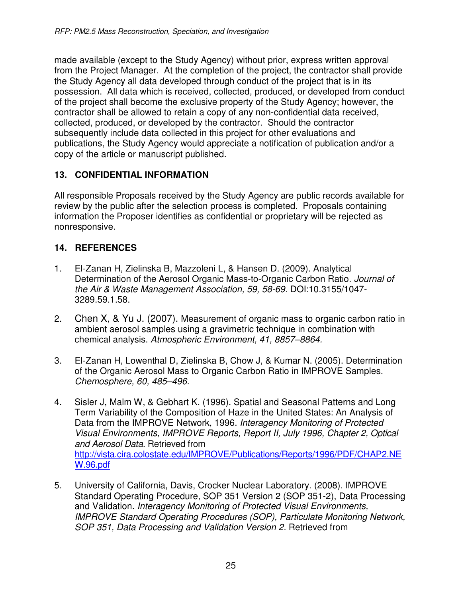made available (except to the Study Agency) without prior, express written approval from the Project Manager. At the completion of the project, the contractor shall provide the Study Agency all data developed through conduct of the project that is in its possession. All data which is received, collected, produced, or developed from conduct of the project shall become the exclusive property of the Study Agency; however, the contractor shall be allowed to retain a copy of any non-confidential data received, collected, produced, or developed by the contractor. Should the contractor subsequently include data collected in this project for other evaluations and publications, the Study Agency would appreciate a notification of publication and/or a copy of the article or manuscript published.

# **13. CONFIDENTIAL INFORMATION**

All responsible Proposals received by the Study Agency are public records available for review by the public after the selection process is completed. Proposals containing information the Proposer identifies as confidential or proprietary will be rejected as nonresponsive.

#### **14. REFERENCES**

- 1. El-Zanan H, Zielinska B, Mazzoleni L, & Hansen D. (2009). Analytical Determination of the Aerosol Organic Mass-to-Organic Carbon Ratio. *Journal of the Air & Waste Management Association, 59, 58-69.* DOI:10.3155/1047- 3289.59.1.58.
- 2. Chen X, & Yu J. (2007). Measurement of organic mass to organic carbon ratio in ambient aerosol samples using a gravimetric technique in combination with chemical analysis. *Atmospheric Environment, 41, 8857–8864.*
- 3. El-Zanan H, Lowenthal D, Zielinska B, Chow J, & Kumar N. (2005). Determination of the Organic Aerosol Mass to Organic Carbon Ratio in IMPROVE Samples. *Chemosphere, 60, 485–496.*
- 4. Sisler J, Malm W, & Gebhart K. (1996). Spatial and Seasonal Patterns and Long Term Variability of the Composition of Haze in the United States: An Analysis of Data from the IMPROVE Network, 1996. *Interagency Monitoring of Protected Visual Environments, IMPROVE Reports, Report II, July 1996, Chapter 2, Optical and Aerosol Data.* Retrieved from http://vista.cira.colostate.edu/IMPROVE/Publications/Reports/1996/PDF/CHAP2.NE W.96.pdf
- 5. University of California, Davis, Crocker Nuclear Laboratory. (2008). IMPROVE Standard Operating Procedure, SOP 351 Version 2 (SOP 351-2), Data Processing and Validation. *Interagency Monitoring of Protected Visual Environments, IMPROVE Standard Operating Procedures (SOP), Particulate Monitoring Network, SOP 351, Data Processing and Validation Version 2. Retrieved from*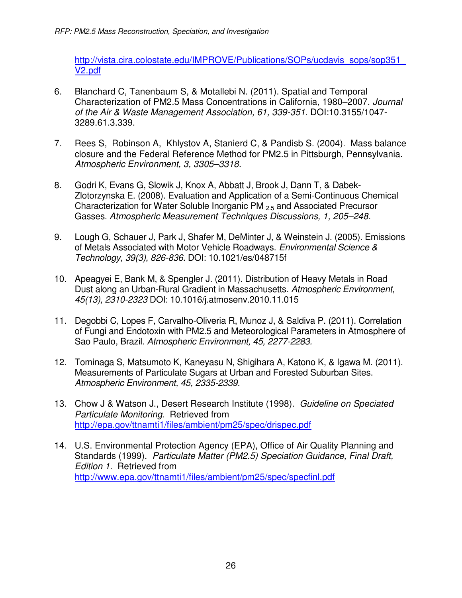http://vista.cira.colostate.edu/IMPROVE/Publications/SOPs/ucdavis\_sops/sop351\_ V2.pdf

- 6. Blanchard C, Tanenbaum S, & Motallebi N. (2011). Spatial and Temporal Characterization of PM2.5 Mass Concentrations in California, 1980–2007. *Journal of the Air & Waste Management Association, 61, 339-351.* DOI:10.3155/1047- 3289.61.3.339.
- 7. Rees S, Robinson A, Khlystov A, Stanierd C, & Pandisb S. (2004). Mass balance closure and the Federal Reference Method for PM2.5 in Pittsburgh, Pennsylvania. *Atmospheric Environment, 3, 3305–3318.*
- 8. Godri K, Evans G, Slowik J, Knox A, Abbatt J, Brook J, Dann T, & Dabek-Zlotorzynska E. (2008). Evaluation and Application of a Semi-Continuous Chemical Characterization for Water Soluble Inorganic PM 2.5 and Associated Precursor Gasses. *Atmospheric Measurement Techniques Discussions, 1, 205–248.*
- 9. Lough G, Schauer J, Park J, Shafer M, DeMinter J, & Weinstein J. (2005). Emissions of Metals Associated with Motor Vehicle Roadways. *Environmental Science & Technology, 39(3), 826-836.* DOI: 10.1021/es/048715f
- 10. Apeagyei E, Bank M, & Spengler J. (2011). Distribution of Heavy Metals in Road Dust along an Urban-Rural Gradient in Massachusetts. *Atmospheric Environment, 45(13), 2310-2323* DOI: 10.1016/j.atmosenv.2010.11.015
- 11. Degobbi C, Lopes F, Carvalho-Oliveria R, Munoz J, & Saldiva P. (2011). Correlation of Fungi and Endotoxin with PM2.5 and Meteorological Parameters in Atmosphere of Sao Paulo, Brazil. *Atmospheric Environment, 45, 2277-2283.*
- 12. Tominaga S, Matsumoto K, Kaneyasu N, Shigihara A, Katono K, & Igawa M. (2011). Measurements of Particulate Sugars at Urban and Forested Suburban Sites. *Atmospheric Environment, 45, 2335-2339.*
- 13. Chow J & Watson J., Desert Research Institute (1998). *Guideline on Speciated Particulate Monitoring.* Retrieved from http://epa.gov/ttnamti1/files/ambient/pm25/spec/drispec.pdf
- 14. U.S. Environmental Protection Agency (EPA), Office of Air Quality Planning and Standards (1999). *Particulate Matter (PM2.5) Speciation Guidance, Final Draft, Edition 1.* Retrieved from http://www.epa.gov/ttnamti1/files/ambient/pm25/spec/specfinl.pdf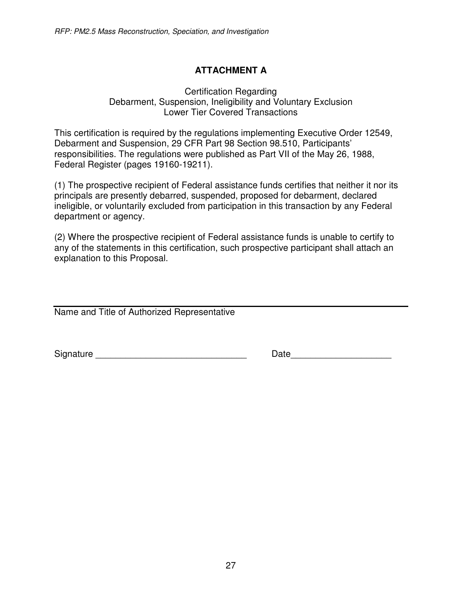# **ATTACHMENT A**

#### Certification Regarding Debarment, Suspension, Ineligibility and Voluntary Exclusion Lower Tier Covered Transactions

This certification is required by the regulations implementing Executive Order 12549, Debarment and Suspension, 29 CFR Part 98 Section 98.510, Participants' responsibilities. The regulations were published as Part VII of the May 26, 1988, Federal Register (pages 19160-19211).

(1) The prospective recipient of Federal assistance funds certifies that neither it nor its principals are presently debarred, suspended, proposed for debarment, declared ineligible, or voluntarily excluded from participation in this transaction by any Federal department or agency.

(2) Where the prospective recipient of Federal assistance funds is unable to certify to any of the statements in this certification, such prospective participant shall attach an explanation to this Proposal.

Name and Title of Authorized Representative

Signature \_\_\_\_\_\_\_\_\_\_\_\_\_\_\_\_\_\_\_\_\_\_\_\_\_\_\_\_\_\_ Date\_\_\_\_\_\_\_\_\_\_\_\_\_\_\_\_\_\_\_\_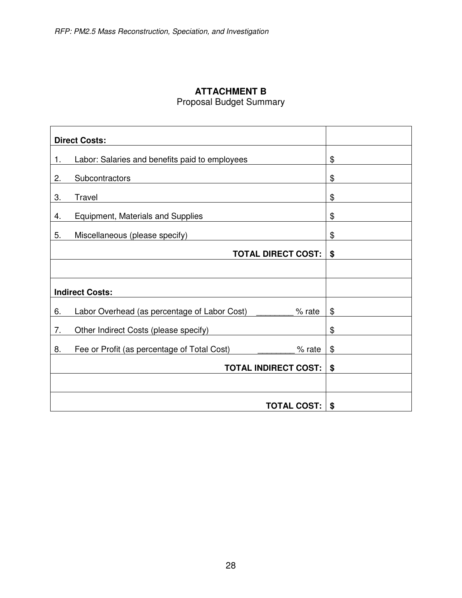# **ATTACHMENT B** Proposal Budget Summary

|    | <b>Direct Costs:</b>                                        |    |
|----|-------------------------------------------------------------|----|
| 1. | Labor: Salaries and benefits paid to employees              | \$ |
| 2. | Subcontractors                                              | \$ |
| 3. | Travel                                                      | \$ |
| 4. | <b>Equipment, Materials and Supplies</b>                    | \$ |
| 5. | Miscellaneous (please specify)                              | \$ |
|    | <b>TOTAL DIRECT COST:</b>                                   | \$ |
|    |                                                             |    |
|    | <b>Indirect Costs:</b>                                      |    |
| 6. | Labor Overhead (as percentage of Labor Cost) ____<br>% rate | \$ |
| 7. | Other Indirect Costs (please specify)                       | \$ |
| 8. | Fee or Profit (as percentage of Total Cost)<br>% rate       | \$ |
|    | <b>TOTAL INDIRECT COST:</b>                                 | \$ |
|    |                                                             |    |
|    | <b>TOTAL COST:</b>                                          | \$ |